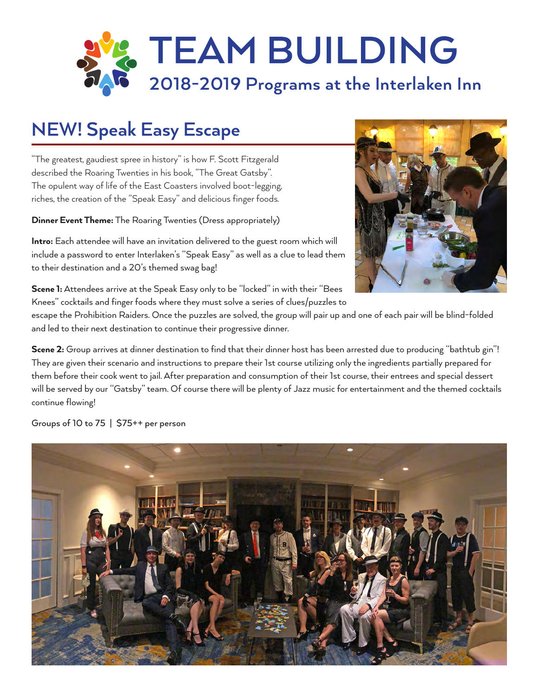

## **NEW! Speak Easy Escape**

"The greatest, gaudiest spree in history" is how F. Scott Fitzgerald described the Roaring Twenties in his book, "The Great Gatsby". The opulent way of life of the East Coasters involved boot-legging, riches, the creation of the "Speak Easy" and delicious finger foods.

Dinner Event Theme: The Roaring Twenties (Dress appropriately)

Intro: Each attendee will have an invitation delivered to the guest room which will include a password to enter Interlaken's "Speak Easy" as well as a clue to lead them to their destination and a 20's themed swag bag!



escape the Prohibition Raiders. Once the puzzles are solved, the group will pair up and one of each pair will be blind-folded and led to their next destination to continue their progressive dinner.

Scene 2: Group arrives at dinner destination to find that their dinner host has been arrested due to producing "bathtub gin"! They are given their scenario and instructions to prepare their 1st course utilizing only the ingredients partially prepared for them before their cook went to jail. After preparation and consumption of their 1st course, their entrees and special dessert will be served by our "Gatsby" team. Of course there will be plenty of Jazz music for entertainment and the themed cocktails continue flowing!

Groups of 10 to 75 | \$75++ per person



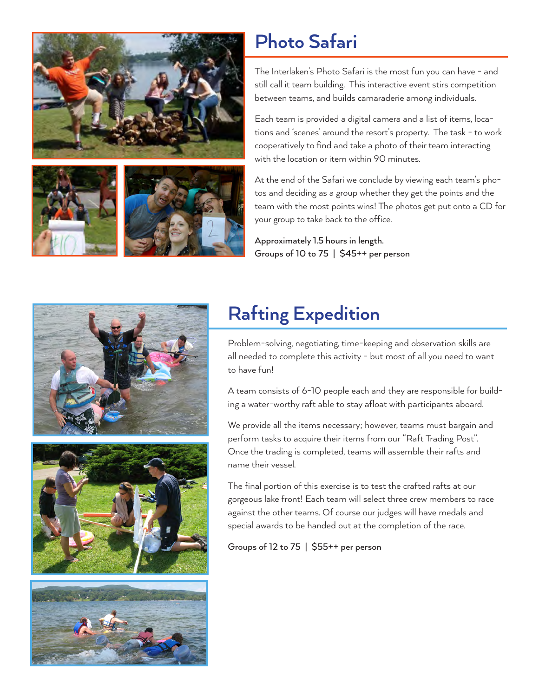





#### **Photo Safari**

The Interlaken's Photo Safari is the most fun you can have - and still call it team building. This interactive event stirs competition between teams, and builds camaraderie among individuals.

Each team is provided a digital camera and a list of items, locations and 'scenes' around the resort's property. The task - to work cooperatively to find and take a photo of their team interacting with the location or item within 90 minutes.

At the end of the Safari we conclude by viewing each team's photos and deciding as a group whether they get the points and the team with the most points wins! The photos get put onto a CD for your group to take back to the office.

Approximately 1.5 hours in length. Groups of 10 to 75 | \$45++ per person





# **Rafting Expedition**

Problem-solving, negotiating, time-keeping and observation skills are all needed to complete this activity - but most of all you need to want to have fun!

A team consists of 6-10 people each and they are responsible for building a water-worthy raft able to stay afloat with participants aboard.

We provide all the items necessary; however, teams must bargain and perform tasks to acquire their items from our "Raft Trading Post". Once the trading is completed, teams will assemble their rafts and name their vessel.

The final portion of this exercise is to test the crafted rafts at our gorgeous lake front! Each team will select three crew members to race against the other teams. Of course our judges will have medals and special awards to be handed out at the completion of the race.

Groups of 12 to 75 | \$55++ per person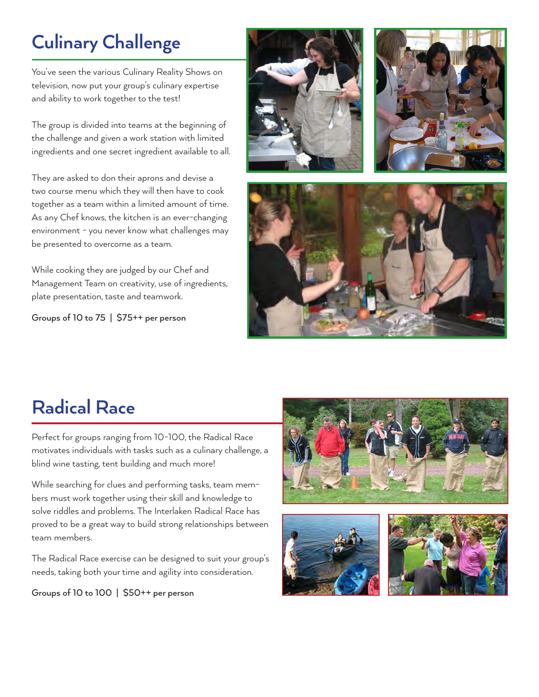# **Culinary Challenge**

You've seen the various Culinary Reality Shows on television, now put your group's culinary expertise and ability to work together to the test!

The group is divided into teams at the beginning of the challenge and given a work station with limited ingredients and one secret ingredient available to all.

They are asked to don their aprons and devise a two course menu which they will then have to cook together as a team within a limited amount of time. As any Chef knows, the kitchen is an ever-changing environment - you never know what challenges may be presented to overcome as a team.

While cooking they are judged by our Chef and Management Team on creativity, use of ingredients, plate presentation, taste and teamwork.

Groups of 10 to 75 | \$75++ per person







## **Radical Race**

Perfect for groups ranging from 10-100, the Radical Race motivates individuals with tasks such as a culinary challenge, a blind wine tasting, tent building and much more!

While searching for clues and performing tasks, team members must work together using their skill and knowledge to solve riddles and problems. The Interlaken Radical Race has proved to be a great way to build strong relationships between team members.

The Radical Race exercise can be designed to suit your group's needs, taking both your time and agility into consideration.

Groups of 10 to 100 | \$50++ per person





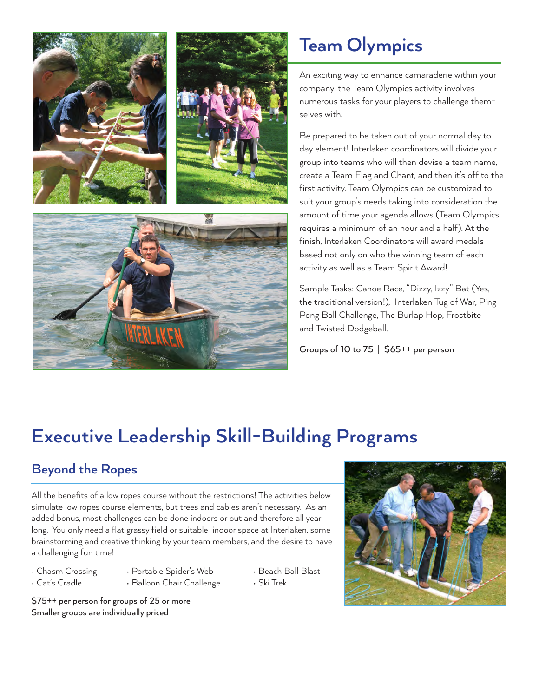

### **Team Olympics**

An exciting way to enhance camaraderie within your company, the Team Olympics activity involves numerous tasks for your players to challenge themselves with.

Be prepared to be taken out of your normal day to day element! Interlaken coordinators will divide your group into teams who will then devise a team name, create a Team Flag and Chant, and then it's off to the first activity. Team Olympics can be customized to suit your group's needs taking into consideration the amount of time your agenda allows (Team Olympics requires a minimum of an hour and a half). At the finish, Interlaken Coordinators will award medals based not only on who the winning team of each activity as well as a Team Spirit Award!

Sample Tasks: Canoe Race, "Dizzy, Izzy" Bat (Yes, the traditional version!), Interlaken Tug of War, Ping Pong Ball Challenge, The Burlap Hop, Frostbite and Twisted Dodgeball.

Groups of 10 to 75 | \$65++ per person

## **Executive Leadership Skill-Building Programs**

#### **Beyond the Ropes**

All the benefits of a low ropes course without the restrictions! The activities below simulate low ropes course elements, but trees and cables aren't necessary. As an added bonus, most challenges can be done indoors or out and therefore all year long. You only need a flat grassy field or suitable indoor space at Interlaken, some brainstorming and creative thinking by your team members, and the desire to have a challenging fun time!

- 
- Chasm Crossing Portable Spider's Web Beach Ball Blast
- 
- Cat's Cradle Balloon Chair Challenge Ski Trek

\$75++ per person for groups of 25 or more Smaller groups are individually priced